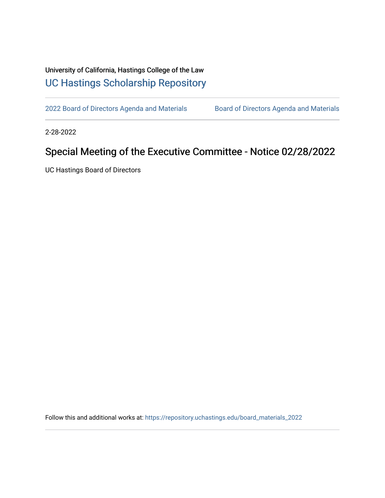## University of California, Hastings College of the Law [UC Hastings Scholarship Repository](https://repository.uchastings.edu/)

[2022 Board of Directors Agenda and Materials](https://repository.uchastings.edu/board_materials_2022) Board of Directors Agenda and Materials

2-28-2022

## Special Meeting of the Executive Committee - Notice 02/28/2022

UC Hastings Board of Directors

Follow this and additional works at: [https://repository.uchastings.edu/board\\_materials\\_2022](https://repository.uchastings.edu/board_materials_2022?utm_source=repository.uchastings.edu%2Fboard_materials_2022%2F22&utm_medium=PDF&utm_campaign=PDFCoverPages)